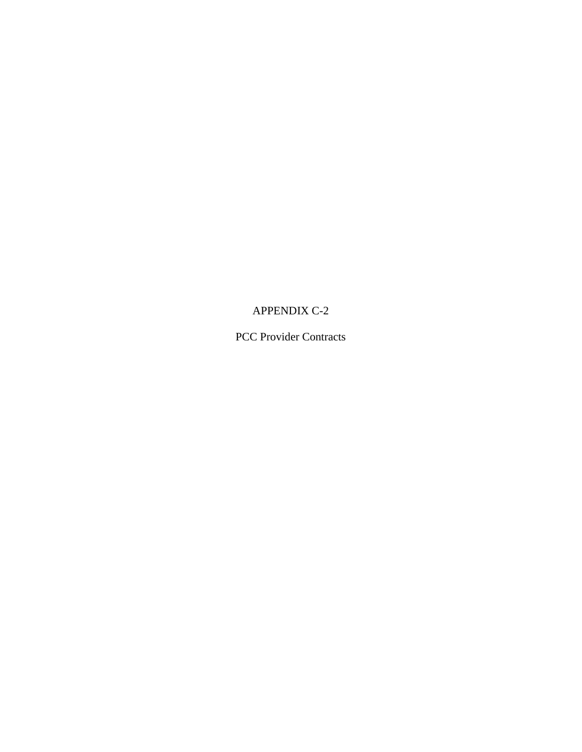## APPENDIX C-2

PCC Provider Contracts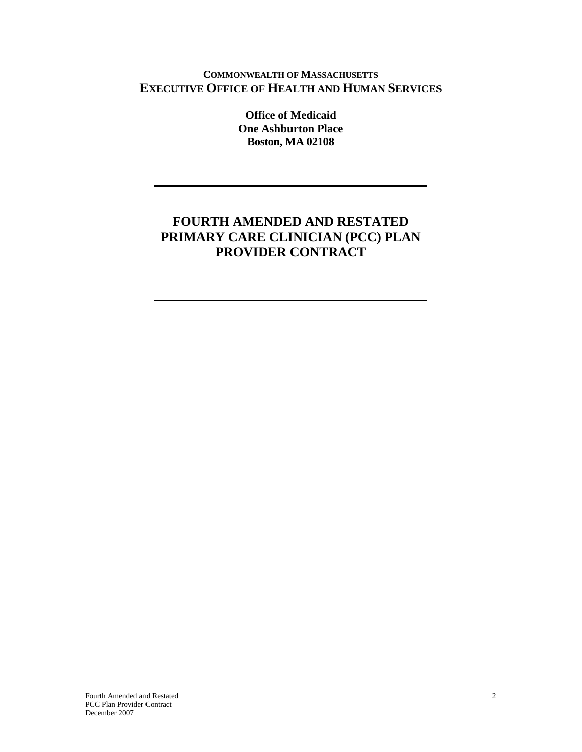#### **COMMONWEALTH OF MASSACHUSETTS EXECUTIVE OFFICE OF HEALTH AND HUMAN SERVICES**

**Office of Medicaid One Ashburton Place Boston, MA 02108**

# **FOURTH AMENDED AND RESTATED PRIMARY CARE CLINICIAN (PCC) PLAN PROVIDER CONTRACT**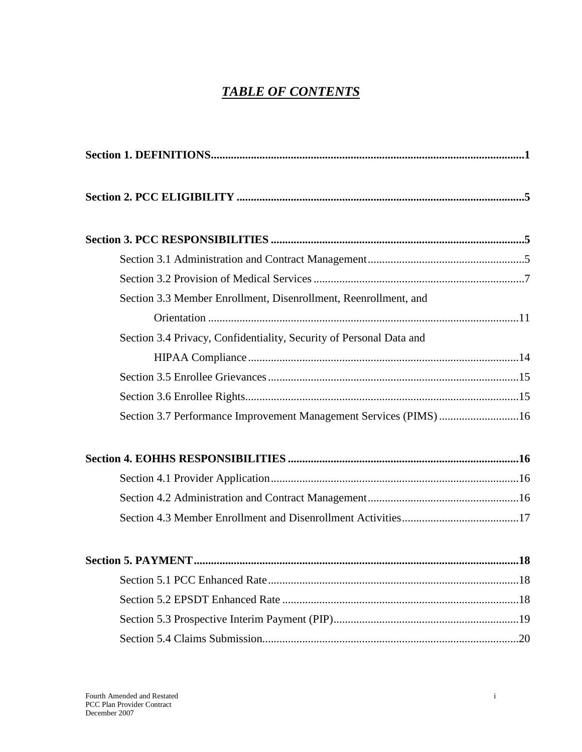# *TABLE OF CONTENTS*

| Section 3.3 Member Enrollment, Disenrollment, Reenrollment, and     |  |
|---------------------------------------------------------------------|--|
|                                                                     |  |
| Section 3.4 Privacy, Confidentiality, Security of Personal Data and |  |
|                                                                     |  |
|                                                                     |  |
|                                                                     |  |
| Section 3.7 Performance Improvement Management Services (PIMS) 16   |  |
|                                                                     |  |
|                                                                     |  |
|                                                                     |  |
|                                                                     |  |
|                                                                     |  |
|                                                                     |  |
|                                                                     |  |
|                                                                     |  |
|                                                                     |  |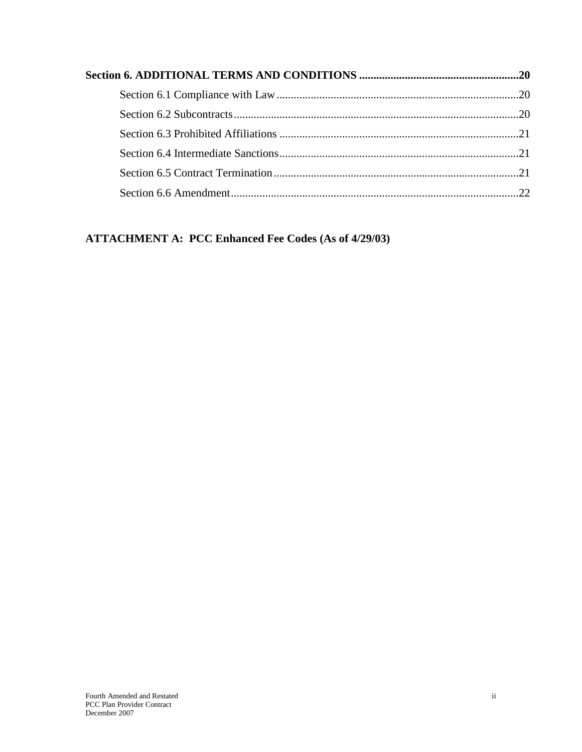## **ATTACHMENT A: PCC Enhanced Fee Codes (As of 4/29/03)**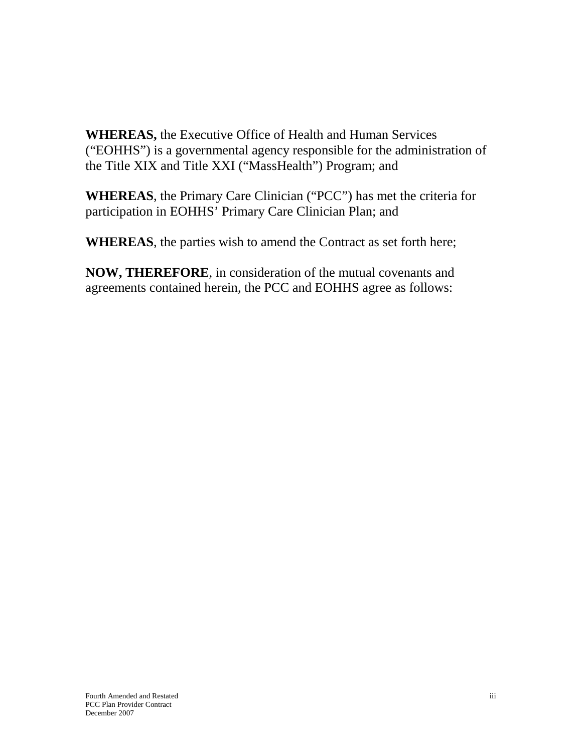**WHEREAS,** the Executive Office of Health and Human Services ("EOHHS") is a governmental agency responsible for the administration of the Title XIX and Title XXI ("MassHealth") Program; and

**WHEREAS**, the Primary Care Clinician ("PCC") has met the criteria for participation in EOHHS' Primary Care Clinician Plan; and

**WHEREAS**, the parties wish to amend the Contract as set forth here;

**NOW, THEREFORE**, in consideration of the mutual covenants and agreements contained herein, the PCC and EOHHS agree as follows: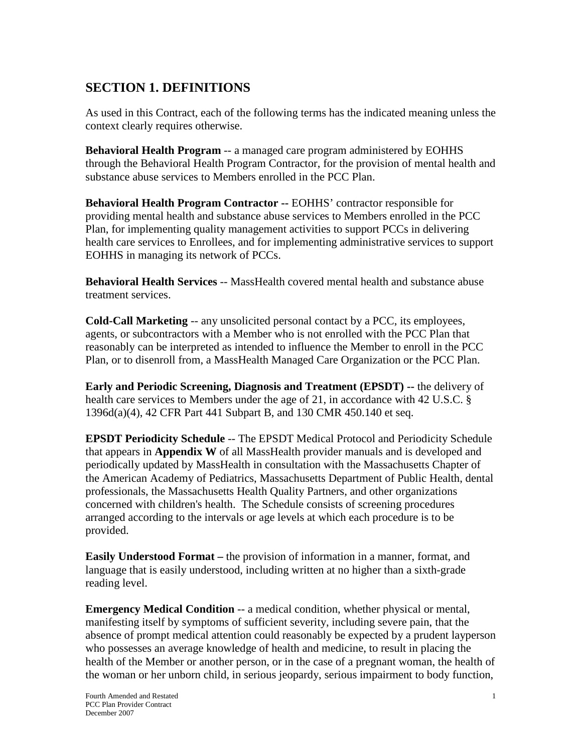# <span id="page-5-0"></span>**SECTION 1. DEFINITIONS**

As used in this Contract, each of the following terms has the indicated meaning unless the context clearly requires otherwise.

**Behavioral Health Program** -- a managed care program administered by EOHHS through the Behavioral Health Program Contractor, for the provision of mental health and substance abuse services to Members enrolled in the PCC Plan.

**Behavioral Health Program Contractor --** EOHHS' contractor responsible for providing mental health and substance abuse services to Members enrolled in the PCC Plan, for implementing quality management activities to support PCCs in delivering health care services to Enrollees, and for implementing administrative services to support EOHHS in managing its network of PCCs.

**Behavioral Health Services** -- MassHealth covered mental health and substance abuse treatment services.

**Cold-Call Marketing** -- any unsolicited personal contact by a PCC, its employees, agents, or subcontractors with a Member who is not enrolled with the PCC Plan that reasonably can be interpreted as intended to influence the Member to enroll in the PCC Plan, or to disenroll from, a MassHealth Managed Care Organization or the PCC Plan.

**Early and Periodic Screening, Diagnosis and Treatment (EPSDT) --** the delivery of health care services to Members under the age of 21, in accordance with 42 U.S.C. § 1396d(a)(4), 42 CFR Part 441 Subpart B, and 130 CMR 450.140 et seq.

**EPSDT Periodicity Schedule** -- The EPSDT Medical Protocol and Periodicity Schedule that appears in **Appendix W** of all MassHealth provider manuals and is developed and periodically updated by MassHealth in consultation with the Massachusetts Chapter of the American Academy of Pediatrics, Massachusetts Department of Public Health, dental professionals, the Massachusetts Health Quality Partners, and other organizations concerned with children's health. The Schedule consists of screening procedures arranged according to the intervals or age levels at which each procedure is to be provided.

**Easily Understood Format –** the provision of information in a manner, format, and language that is easily understood, including written at no higher than a sixth-grade reading level.

**Emergency Medical Condition** -- a medical condition, whether physical or mental, manifesting itself by symptoms of sufficient severity, including severe pain, that the absence of prompt medical attention could reasonably be expected by a prudent layperson who possesses an average knowledge of health and medicine, to result in placing the health of the Member or another person, or in the case of a pregnant woman, the health of the woman or her unborn child, in serious jeopardy, serious impairment to body function,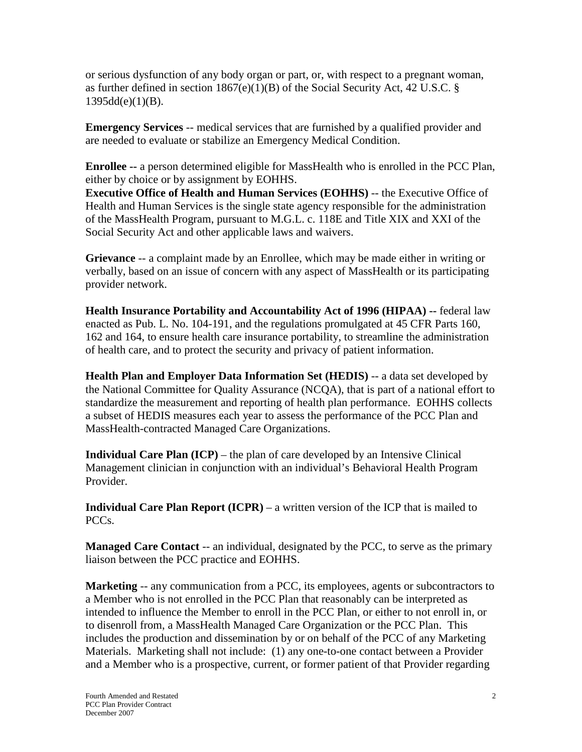or serious dysfunction of any body organ or part, or, with respect to a pregnant woman, as further defined in section 1867(e)(1)(B) of the Social Security Act, 42 U.S.C. §  $1395d(d(e)(1)(B)).$ 

**Emergency Services** -- medical services that are furnished by a qualified provider and are needed to evaluate or stabilize an Emergency Medical Condition.

**Enrollee --** a person determined eligible for MassHealth who is enrolled in the PCC Plan, either by choice or by assignment by EOHHS.

**Executive Office of Health and Human Services (EOHHS)** -- the Executive Office of Health and Human Services is the single state agency responsible for the administration of the MassHealth Program, pursuant to M.G.L. c. 118E and Title XIX and XXI of the Social Security Act and other applicable laws and waivers.

**Grievance** -- a complaint made by an Enrollee, which may be made either in writing or verbally, based on an issue of concern with any aspect of MassHealth or its participating provider network.

**Health Insurance Portability and Accountability Act of 1996 (HIPAA) --** federal law enacted as Pub. L. No. 104-191, and the regulations promulgated at 45 CFR Parts 160, 162 and 164, to ensure health care insurance portability, to streamline the administration of health care, and to protect the security and privacy of patient information.

**Health Plan and Employer Data Information Set (HEDIS)** -- a data set developed by the National Committee for Quality Assurance (NCQA), that is part of a national effort to standardize the measurement and reporting of health plan performance. EOHHS collects a subset of HEDIS measures each year to assess the performance of the PCC Plan and MassHealth-contracted Managed Care Organizations.

**Individual Care Plan (ICP)** – the plan of care developed by an Intensive Clinical Management clinician in conjunction with an individual's Behavioral Health Program Provider.

**Individual Care Plan Report (ICPR)** – a written version of the ICP that is mailed to PCCs.

**Managed Care Contact** -- an individual, designated by the PCC, to serve as the primary liaison between the PCC practice and EOHHS.

**Marketing** -- any communication from a PCC, its employees, agents or subcontractors to a Member who is not enrolled in the PCC Plan that reasonably can be interpreted as intended to influence the Member to enroll in the PCC Plan, or either to not enroll in, or to disenroll from, a MassHealth Managed Care Organization or the PCC Plan. This includes the production and dissemination by or on behalf of the PCC of any Marketing Materials. Marketing shall not include: (1) any one-to-one contact between a Provider and a Member who is a prospective, current, or former patient of that Provider regarding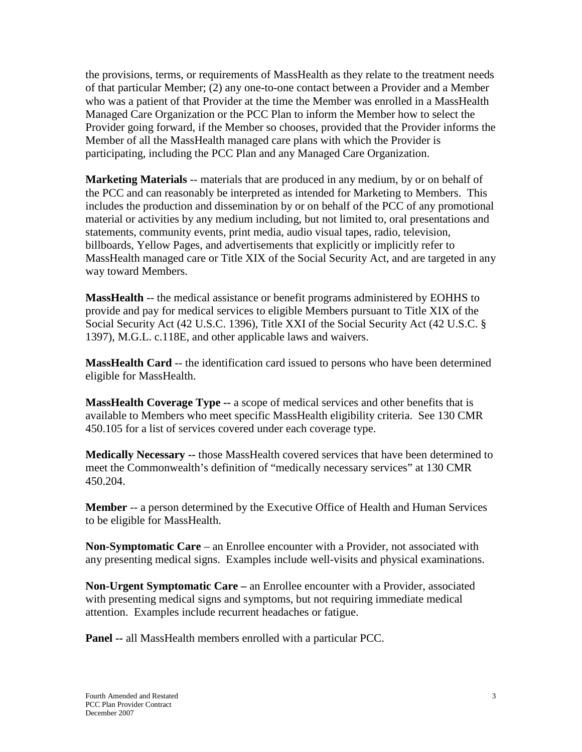the provisions, terms, or requirements of MassHealth as they relate to the treatment needs of that particular Member; (2) any one-to-one contact between a Provider and a Member who was a patient of that Provider at the time the Member was enrolled in a MassHealth Managed Care Organization or the PCC Plan to inform the Member how to select the Provider going forward, if the Member so chooses, provided that the Provider informs the Member of all the MassHealth managed care plans with which the Provider is participating, including the PCC Plan and any Managed Care Organization.

**Marketing Materials** -- materials that are produced in any medium, by or on behalf of the PCC and can reasonably be interpreted as intended for Marketing to Members. This includes the production and dissemination by or on behalf of the PCC of any promotional material or activities by any medium including, but not limited to, oral presentations and statements, community events, print media, audio visual tapes, radio, television, billboards, Yellow Pages, and advertisements that explicitly or implicitly refer to MassHealth managed care or Title XIX of the Social Security Act, and are targeted in any way toward Members.

**MassHealth** -- the medical assistance or benefit programs administered by EOHHS to provide and pay for medical services to eligible Members pursuant to Title XIX of the Social Security Act (42 U.S.C. 1396), Title XXI of the Social Security Act (42 U.S.C. § 1397), M.G.L. c.118E, and other applicable laws and waivers.

**MassHealth Card** -- the identification card issued to persons who have been determined eligible for MassHealth.

**MassHealth Coverage Type --** a scope of medical services and other benefits that is available to Members who meet specific MassHealth eligibility criteria. See 130 CMR 450.105 for a list of services covered under each coverage type.

**Medically Necessary --** those MassHealth covered services that have been determined to meet the Commonwealth's definition of "medically necessary services" at 130 CMR 450.204.

**Member** -- a person determined by the Executive Office of Health and Human Services to be eligible for MassHealth.

**Non-Symptomatic Care** – an Enrollee encounter with a Provider, not associated with any presenting medical signs. Examples include well-visits and physical examinations.

**Non-Urgent Symptomatic Care –** an Enrollee encounter with a Provider, associated with presenting medical signs and symptoms, but not requiring immediate medical attention. Examples include recurrent headaches or fatigue.

**Panel --** all MassHealth members enrolled with a particular PCC.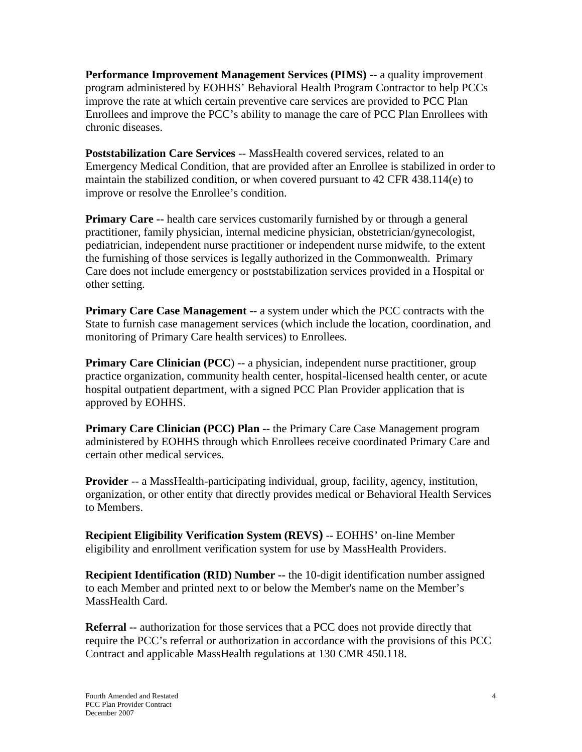**Performance Improvement Management Services (PIMS) --** a quality improvement program administered by EOHHS' Behavioral Health Program Contractor to help PCCs improve the rate at which certain preventive care services are provided to PCC Plan Enrollees and improve the PCC's ability to manage the care of PCC Plan Enrollees with chronic diseases.

**Poststabilization Care Services** -- MassHealth covered services, related to an Emergency Medical Condition, that are provided after an Enrollee is stabilized in order to maintain the stabilized condition, or when covered pursuant to 42 CFR 438.114(e) to improve or resolve the Enrollee's condition.

**Primary Care --** health care services customarily furnished by or through a general practitioner, family physician, internal medicine physician, obstetrician/gynecologist, pediatrician, independent nurse practitioner or independent nurse midwife, to the extent the furnishing of those services is legally authorized in the Commonwealth. Primary Care does not include emergency or poststabilization services provided in a Hospital or other setting.

**Primary Care Case Management --** a system under which the PCC contracts with the State to furnish case management services (which include the location, coordination, and monitoring of Primary Care health services) to Enrollees.

**Primary Care Clinician (PCC)** -- a physician, independent nurse practitioner, group practice organization, community health center, hospital-licensed health center, or acute hospital outpatient department, with a signed PCC Plan Provider application that is approved by EOHHS.

**Primary Care Clinician (PCC) Plan** -- the Primary Care Case Management program administered by EOHHS through which Enrollees receive coordinated Primary Care and certain other medical services.

**Provider** -- a MassHealth-participating individual, group, facility, agency, institution, organization, or other entity that directly provides medical or Behavioral Health Services to Members.

**Recipient Eligibility Verification System (REVS)** -- EOHHS' on-line Member eligibility and enrollment verification system for use by MassHealth Providers.

**Recipient Identification (RID) Number --** the 10-digit identification number assigned to each Member and printed next to or below the Member's name on the Member's MassHealth Card.

**Referral --** authorization for those services that a PCC does not provide directly that require the PCC's referral or authorization in accordance with the provisions of this PCC Contract and applicable MassHealth regulations at 130 CMR 450.118.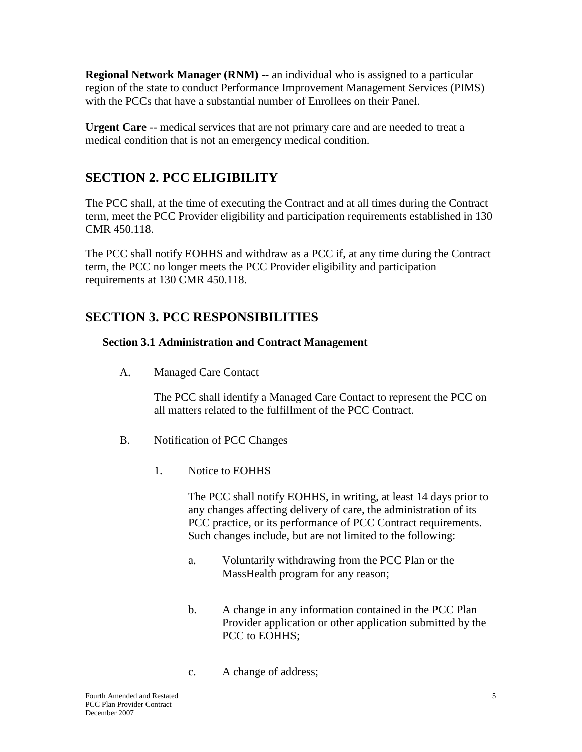**Regional Network Manager (RNM)** -- an individual who is assigned to a particular region of the state to conduct Performance Improvement Management Services (PIMS) with the PCCs that have a substantial number of Enrollees on their Panel.

**Urgent Care** -- medical services that are not primary care and are needed to treat a medical condition that is not an emergency medical condition.

# <span id="page-9-0"></span>**SECTION 2. PCC ELIGIBILITY**

The PCC shall, at the time of executing the Contract and at all times during the Contract term, meet the PCC Provider eligibility and participation requirements established in 130 CMR 450.118.

The PCC shall notify EOHHS and withdraw as a PCC if, at any time during the Contract term, the PCC no longer meets the PCC Provider eligibility and participation requirements at 130 CMR 450.118.

# <span id="page-9-1"></span>**SECTION 3. PCC RESPONSIBILITIES**

### <span id="page-9-2"></span>**Section 3.1 Administration and Contract Management**

A. Managed Care Contact

The PCC shall identify a Managed Care Contact to represent the PCC on all matters related to the fulfillment of the PCC Contract.

- B. Notification of PCC Changes
	- 1. Notice to EOHHS

The PCC shall notify EOHHS, in writing, at least 14 days prior to any changes affecting delivery of care, the administration of its PCC practice, or its performance of PCC Contract requirements. Such changes include, but are not limited to the following:

- a. Voluntarily withdrawing from the PCC Plan or the MassHealth program for any reason;
- b. A change in any information contained in the PCC Plan Provider application or other application submitted by the PCC to EOHHS:
- c. A change of address;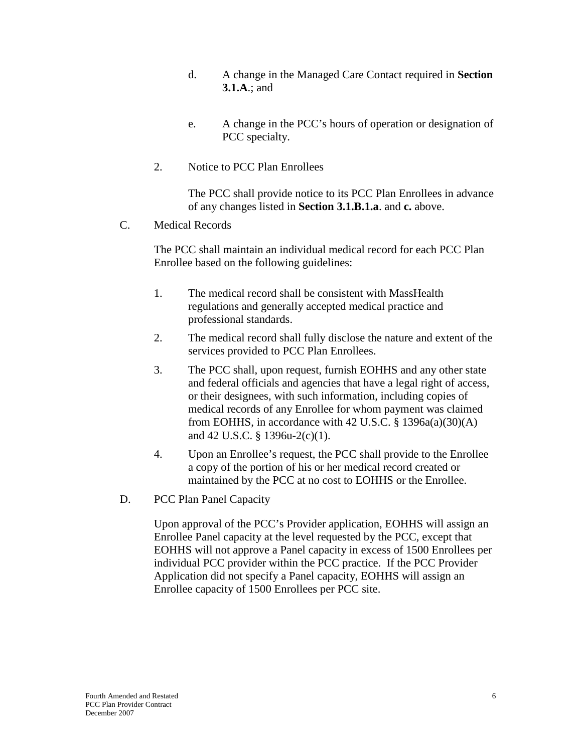- d. A change in the Managed Care Contact required in **Section 3.1.A**.; and
- e. A change in the PCC's hours of operation or designation of PCC specialty.
- 2. Notice to PCC Plan Enrollees

The PCC shall provide notice to its PCC Plan Enrollees in advance of any changes listed in **Section 3.1.B.1.a**. and **c.** above.

C. Medical Records

The PCC shall maintain an individual medical record for each PCC Plan Enrollee based on the following guidelines:

- 1. The medical record shall be consistent with MassHealth regulations and generally accepted medical practice and professional standards.
- 2. The medical record shall fully disclose the nature and extent of the services provided to PCC Plan Enrollees.
- 3. The PCC shall, upon request, furnish EOHHS and any other state and federal officials and agencies that have a legal right of access, or their designees, with such information, including copies of medical records of any Enrollee for whom payment was claimed from EOHHS, in accordance with 42 U.S.C.  $\S$  1396a(a)(30)(A) and 42 U.S.C. § 1396u-2(c)(1).
- 4. Upon an Enrollee's request, the PCC shall provide to the Enrollee a copy of the portion of his or her medical record created or maintained by the PCC at no cost to EOHHS or the Enrollee.
- D. PCC Plan Panel Capacity

Upon approval of the PCC's Provider application, EOHHS will assign an Enrollee Panel capacity at the level requested by the PCC, except that EOHHS will not approve a Panel capacity in excess of 1500 Enrollees per individual PCC provider within the PCC practice. If the PCC Provider Application did not specify a Panel capacity, EOHHS will assign an Enrollee capacity of 1500 Enrollees per PCC site.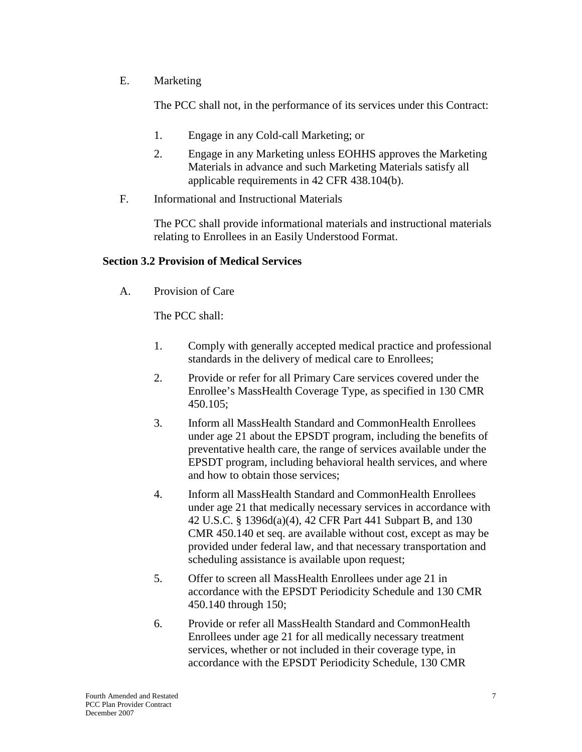#### E. Marketing

The PCC shall not, in the performance of its services under this Contract:

- 1. Engage in any Cold-call Marketing; or
- 2. Engage in any Marketing unless EOHHS approves the Marketing Materials in advance and such Marketing Materials satisfy all applicable requirements in 42 CFR 438.104(b).
- F. Informational and Instructional Materials

The PCC shall provide informational materials and instructional materials relating to Enrollees in an Easily Understood Format.

#### <span id="page-11-0"></span>**Section 3.2 Provision of Medical Services**

A. Provision of Care

The PCC shall:

- 1. Comply with generally accepted medical practice and professional standards in the delivery of medical care to Enrollees;
- 2. Provide or refer for all Primary Care services covered under the Enrollee's MassHealth Coverage Type, as specified in 130 CMR 450.105;
- 3. Inform all MassHealth Standard and CommonHealth Enrollees under age 21 about the EPSDT program, including the benefits of preventative health care, the range of services available under the EPSDT program, including behavioral health services, and where and how to obtain those services;
- 4. Inform all MassHealth Standard and CommonHealth Enrollees under age 21 that medically necessary services in accordance with 42 U.S.C. § 1396d(a)(4), 42 CFR Part 441 Subpart B, and 130 CMR 450.140 et seq. are available without cost, except as may be provided under federal law, and that necessary transportation and scheduling assistance is available upon request;
- 5. Offer to screen all MassHealth Enrollees under age 21 in accordance with the EPSDT Periodicity Schedule and 130 CMR 450.140 through 150;
- 6. Provide or refer all MassHealth Standard and CommonHealth Enrollees under age 21 for all medically necessary treatment services, whether or not included in their coverage type, in accordance with the EPSDT Periodicity Schedule, 130 CMR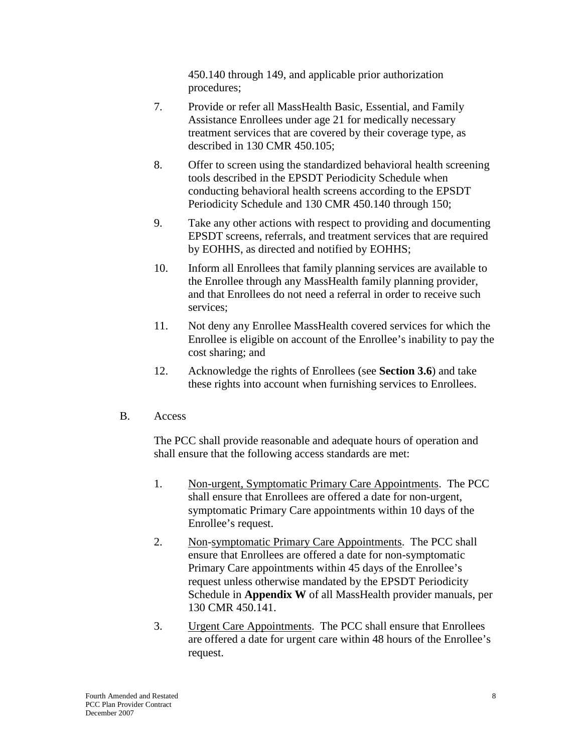450.140 through 149, and applicable prior authorization procedures;

- 7. Provide or refer all MassHealth Basic, Essential, and Family Assistance Enrollees under age 21 for medically necessary treatment services that are covered by their coverage type, as described in 130 CMR 450.105;
- 8. Offer to screen using the standardized behavioral health screening tools described in the EPSDT Periodicity Schedule when conducting behavioral health screens according to the EPSDT Periodicity Schedule and 130 CMR 450.140 through 150;
- 9. Take any other actions with respect to providing and documenting EPSDT screens, referrals, and treatment services that are required by EOHHS, as directed and notified by EOHHS;
- 10. Inform all Enrollees that family planning services are available to the Enrollee through any MassHealth family planning provider, and that Enrollees do not need a referral in order to receive such services;
- 11. Not deny any Enrollee MassHealth covered services for which the Enrollee is eligible on account of the Enrollee's inability to pay the cost sharing; and
- 12. Acknowledge the rights of Enrollees (see **Section 3.6**) and take these rights into account when furnishing services to Enrollees.
- B. Access

The PCC shall provide reasonable and adequate hours of operation and shall ensure that the following access standards are met:

- 1. Non-urgent, Symptomatic Primary Care Appointments. The PCC shall ensure that Enrollees are offered a date for non-urgent, symptomatic Primary Care appointments within 10 days of the Enrollee's request.
- 2. Non-symptomatic Primary Care Appointments. The PCC shall ensure that Enrollees are offered a date for non-symptomatic Primary Care appointments within 45 days of the Enrollee's request unless otherwise mandated by the EPSDT Periodicity Schedule in **Appendix W** of all MassHealth provider manuals, per 130 CMR 450.141.
- 3. Urgent Care Appointments. The PCC shall ensure that Enrollees are offered a date for urgent care within 48 hours of the Enrollee's request.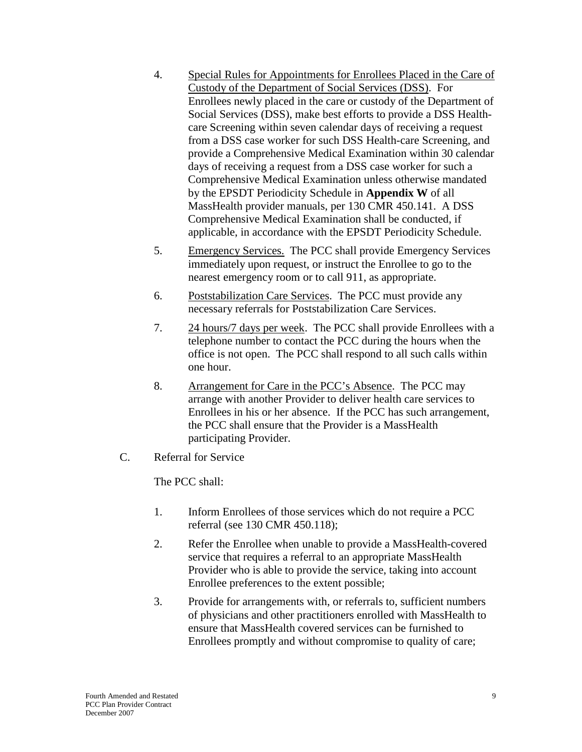- 4. Special Rules for Appointments for Enrollees Placed in the Care of Custody of the Department of Social Services (DSS). For Enrollees newly placed in the care or custody of the Department of Social Services (DSS), make best efforts to provide a DSS Healthcare Screening within seven calendar days of receiving a request from a DSS case worker for such DSS Health-care Screening, and provide a Comprehensive Medical Examination within 30 calendar days of receiving a request from a DSS case worker for such a Comprehensive Medical Examination unless otherwise mandated by the EPSDT Periodicity Schedule in **Appendix W** of all MassHealth provider manuals, per 130 CMR 450.141. A DSS Comprehensive Medical Examination shall be conducted, if applicable, in accordance with the EPSDT Periodicity Schedule.
- 5. Emergency Services. The PCC shall provide Emergency Services immediately upon request, or instruct the Enrollee to go to the nearest emergency room or to call 911, as appropriate.
- 6. Poststabilization Care Services. The PCC must provide any necessary referrals for Poststabilization Care Services.
- 7. 24 hours/7 days per week. The PCC shall provide Enrollees with a telephone number to contact the PCC during the hours when the office is not open. The PCC shall respond to all such calls within one hour.
- 8. Arrangement for Care in the PCC's Absence. The PCC may arrange with another Provider to deliver health care services to Enrollees in his or her absence. If the PCC has such arrangement, the PCC shall ensure that the Provider is a MassHealth participating Provider.
- C. Referral for Service

The PCC shall:

- 1. Inform Enrollees of those services which do not require a PCC referral (see 130 CMR 450.118);
- 2. Refer the Enrollee when unable to provide a MassHealth-covered service that requires a referral to an appropriate MassHealth Provider who is able to provide the service, taking into account Enrollee preferences to the extent possible;
- 3. Provide for arrangements with, or referrals to, sufficient numbers of physicians and other practitioners enrolled with MassHealth to ensure that MassHealth covered services can be furnished to Enrollees promptly and without compromise to quality of care;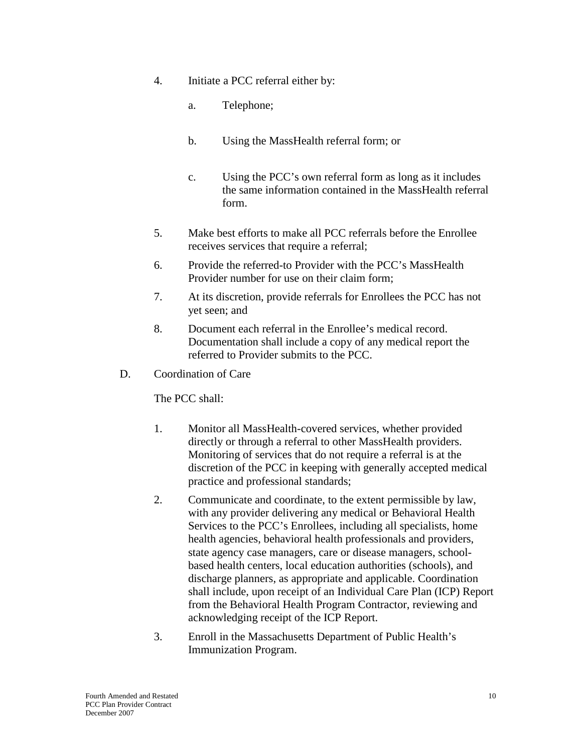- 4. Initiate a PCC referral either by:
	- a. Telephone;
	- b. Using the MassHealth referral form; or
	- c. Using the PCC's own referral form as long as it includes the same information contained in the MassHealth referral form.
- 5. Make best efforts to make all PCC referrals before the Enrollee receives services that require a referral;
- 6. Provide the referred-to Provider with the PCC's MassHealth Provider number for use on their claim form;
- 7. At its discretion, provide referrals for Enrollees the PCC has not yet seen; and
- 8. Document each referral in the Enrollee's medical record. Documentation shall include a copy of any medical report the referred to Provider submits to the PCC.
- D. Coordination of Care

The PCC shall:

- 1. Monitor all MassHealth-covered services, whether provided directly or through a referral to other MassHealth providers. Monitoring of services that do not require a referral is at the discretion of the PCC in keeping with generally accepted medical practice and professional standards;
- 2. Communicate and coordinate, to the extent permissible by law, with any provider delivering any medical or Behavioral Health Services to the PCC's Enrollees, including all specialists, home health agencies, behavioral health professionals and providers, state agency case managers, care or disease managers, schoolbased health centers, local education authorities (schools), and discharge planners, as appropriate and applicable. Coordination shall include, upon receipt of an Individual Care Plan (ICP) Report from the Behavioral Health Program Contractor, reviewing and acknowledging receipt of the ICP Report.
- 3. Enroll in the Massachusetts Department of Public Health's Immunization Program.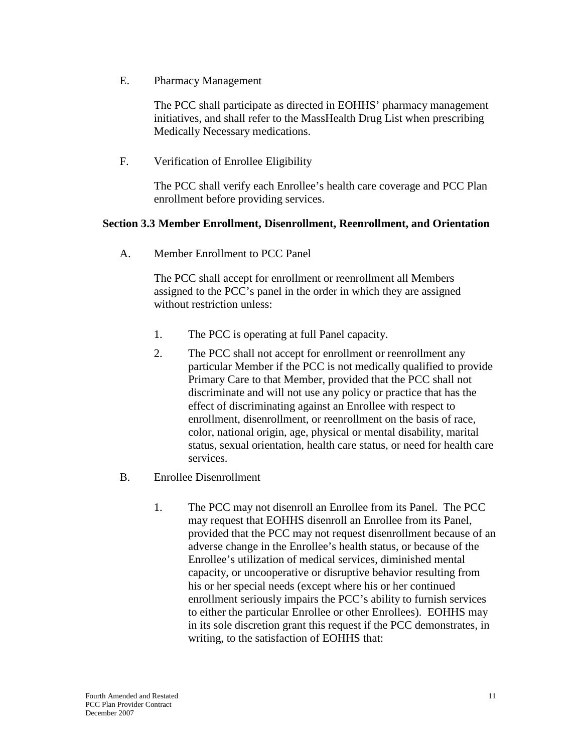E. Pharmacy Management

The PCC shall participate as directed in EOHHS' pharmacy management initiatives, and shall refer to the MassHealth Drug List when prescribing Medically Necessary medications.

F. Verification of Enrollee Eligibility

The PCC shall verify each Enrollee's health care coverage and PCC Plan enrollment before providing services.

#### <span id="page-15-0"></span>**Section 3.3 Member Enrollment, Disenrollment, Reenrollment, and Orientation**

A. Member Enrollment to PCC Panel

The PCC shall accept for enrollment or reenrollment all Members assigned to the PCC's panel in the order in which they are assigned without restriction unless:

- 1. The PCC is operating at full Panel capacity.
- 2. The PCC shall not accept for enrollment or reenrollment any particular Member if the PCC is not medically qualified to provide Primary Care to that Member, provided that the PCC shall not discriminate and will not use any policy or practice that has the effect of discriminating against an Enrollee with respect to enrollment, disenrollment, or reenrollment on the basis of race, color, national origin, age, physical or mental disability, marital status, sexual orientation, health care status, or need for health care services.
- B. Enrollee Disenrollment
	- 1. The PCC may not disenroll an Enrollee from its Panel. The PCC may request that EOHHS disenroll an Enrollee from its Panel, provided that the PCC may not request disenrollment because of an adverse change in the Enrollee's health status, or because of the Enrollee's utilization of medical services, diminished mental capacity, or uncooperative or disruptive behavior resulting from his or her special needs (except where his or her continued enrollment seriously impairs the PCC's ability to furnish services to either the particular Enrollee or other Enrollees). EOHHS may in its sole discretion grant this request if the PCC demonstrates, in writing, to the satisfaction of EOHHS that: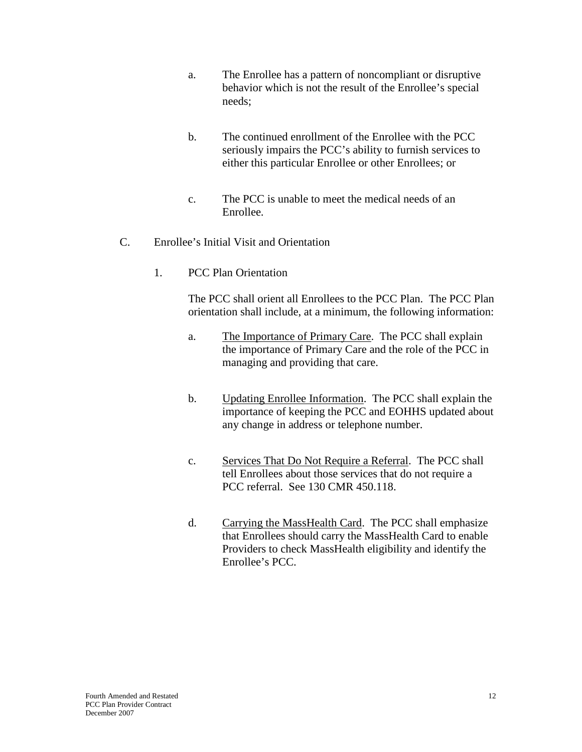- a. The Enrollee has a pattern of noncompliant or disruptive behavior which is not the result of the Enrollee's special needs;
- b. The continued enrollment of the Enrollee with the PCC seriously impairs the PCC's ability to furnish services to either this particular Enrollee or other Enrollees; or
- c. The PCC is unable to meet the medical needs of an Enrollee.
- C. Enrollee's Initial Visit and Orientation
	- 1. PCC Plan Orientation

The PCC shall orient all Enrollees to the PCC Plan. The PCC Plan orientation shall include, at a minimum, the following information:

- a. The Importance of Primary Care. The PCC shall explain the importance of Primary Care and the role of the PCC in managing and providing that care.
- b. Updating Enrollee Information. The PCC shall explain the importance of keeping the PCC and EOHHS updated about any change in address or telephone number.
- c. Services That Do Not Require a Referral. The PCC shall tell Enrollees about those services that do not require a PCC referral. See 130 CMR 450.118.
- d. Carrying the MassHealth Card. The PCC shall emphasize that Enrollees should carry the MassHealth Card to enable Providers to check MassHealth eligibility and identify the Enrollee's PCC.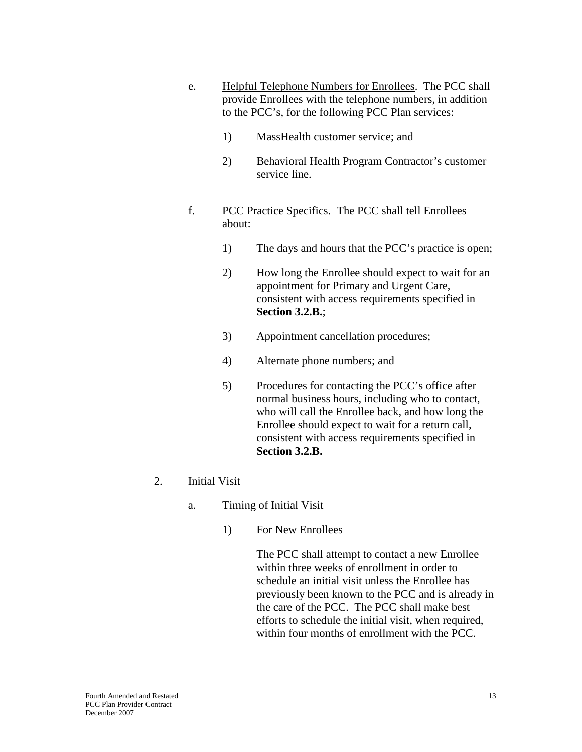- e. Helpful Telephone Numbers for Enrollees. The PCC shall provide Enrollees with the telephone numbers, in addition to the PCC's, for the following PCC Plan services:
	- 1) MassHealth customer service; and
	- 2) Behavioral Health Program Contractor's customer service line.
- f. PCC Practice Specifics. The PCC shall tell Enrollees about:
	- 1) The days and hours that the PCC's practice is open;
	- 2) How long the Enrollee should expect to wait for an appointment for Primary and Urgent Care, consistent with access requirements specified in **Section 3.2.B.**;
	- 3) Appointment cancellation procedures;
	- 4) Alternate phone numbers; and
	- 5) Procedures for contacting the PCC's office after normal business hours, including who to contact, who will call the Enrollee back, and how long the Enrollee should expect to wait for a return call, consistent with access requirements specified in **Section 3.2.B.**
- 2. Initial Visit
	- a. Timing of Initial Visit
		- 1) For New Enrollees

The PCC shall attempt to contact a new Enrollee within three weeks of enrollment in order to schedule an initial visit unless the Enrollee has previously been known to the PCC and is already in the care of the PCC. The PCC shall make best efforts to schedule the initial visit, when required, within four months of enrollment with the PCC.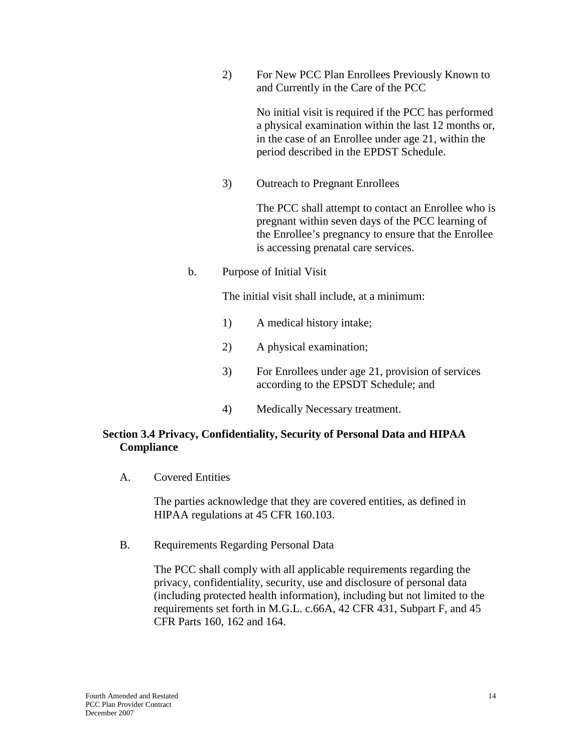2) For New PCC Plan Enrollees Previously Known to and Currently in the Care of the PCC

> No initial visit is required if the PCC has performed a physical examination within the last 12 months or, in the case of an Enrollee under age 21, within the period described in the EPDST Schedule.

3) Outreach to Pregnant Enrollees

The PCC shall attempt to contact an Enrollee who is pregnant within seven days of the PCC learning of the Enrollee's pregnancy to ensure that the Enrollee is accessing prenatal care services.

b. Purpose of Initial Visit

The initial visit shall include, at a minimum:

- 1) A medical history intake;
- 2) A physical examination;
- 3) For Enrollees under age 21, provision of services according to the EPSDT Schedule; and
- 4) Medically Necessary treatment.

#### <span id="page-18-0"></span>**Section 3.4 Privacy, Confidentiality, Security of Personal Data and HIPAA Compliance**

A. Covered Entities

The parties acknowledge that they are covered entities, as defined in HIPAA regulations at 45 CFR 160.103.

B. Requirements Regarding Personal Data

The PCC shall comply with all applicable requirements regarding the privacy, confidentiality, security, use and disclosure of personal data (including protected health information), including but not limited to the requirements set forth in M.G.L. c.66A, 42 CFR 431, Subpart F, and 45 CFR Parts 160, 162 and 164.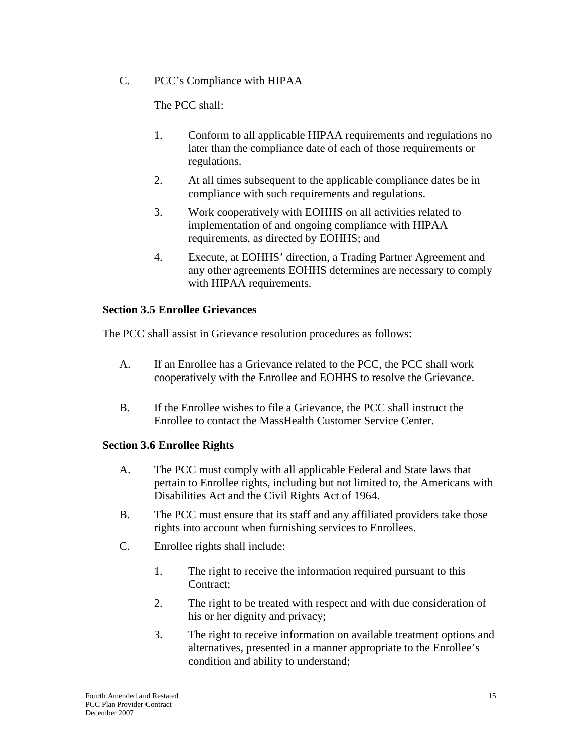C. PCC's Compliance with HIPAA

The PCC shall:

- 1. Conform to all applicable HIPAA requirements and regulations no later than the compliance date of each of those requirements or regulations.
- 2. At all times subsequent to the applicable compliance dates be in compliance with such requirements and regulations.
- 3. Work cooperatively with EOHHS on all activities related to implementation of and ongoing compliance with HIPAA requirements, as directed by EOHHS; and
- 4. Execute, at EOHHS' direction, a Trading Partner Agreement and any other agreements EOHHS determines are necessary to comply with HIPAA requirements.

### <span id="page-19-0"></span>**Section 3.5 Enrollee Grievances**

The PCC shall assist in Grievance resolution procedures as follows:

- A. If an Enrollee has a Grievance related to the PCC, the PCC shall work cooperatively with the Enrollee and EOHHS to resolve the Grievance.
- B. If the Enrollee wishes to file a Grievance, the PCC shall instruct the Enrollee to contact the MassHealth Customer Service Center.

#### <span id="page-19-1"></span>**Section 3.6 Enrollee Rights**

- A. The PCC must comply with all applicable Federal and State laws that pertain to Enrollee rights, including but not limited to, the Americans with Disabilities Act and the Civil Rights Act of 1964.
- B. The PCC must ensure that its staff and any affiliated providers take those rights into account when furnishing services to Enrollees.
- C. Enrollee rights shall include:
	- 1. The right to receive the information required pursuant to this Contract;
	- 2. The right to be treated with respect and with due consideration of his or her dignity and privacy;
	- 3. The right to receive information on available treatment options and alternatives, presented in a manner appropriate to the Enrollee's condition and ability to understand;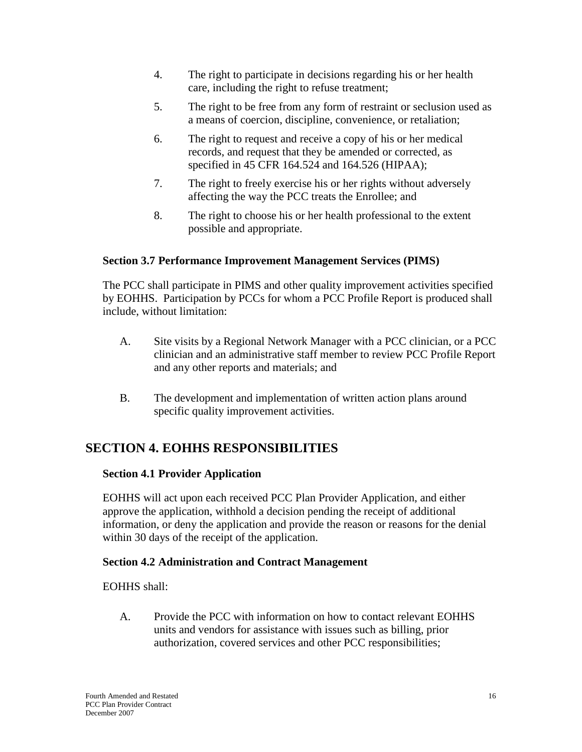- 4. The right to participate in decisions regarding his or her health care, including the right to refuse treatment;
- 5. The right to be free from any form of restraint or seclusion used as a means of coercion, discipline, convenience, or retaliation;
- 6. The right to request and receive a copy of his or her medical records, and request that they be amended or corrected, as specified in 45 CFR 164.524 and 164.526 (HIPAA);
- 7. The right to freely exercise his or her rights without adversely affecting the way the PCC treats the Enrollee; and
- 8. The right to choose his or her health professional to the extent possible and appropriate.

## <span id="page-20-0"></span>**Section 3.7 Performance Improvement Management Services (PIMS)**

The PCC shall participate in PIMS and other quality improvement activities specified by EOHHS. Participation by PCCs for whom a PCC Profile Report is produced shall include, without limitation:

- A. Site visits by a Regional Network Manager with a PCC clinician, or a PCC clinician and an administrative staff member to review PCC Profile Report and any other reports and materials; and
- B. The development and implementation of written action plans around specific quality improvement activities.

# <span id="page-20-1"></span>**SECTION 4. EOHHS RESPONSIBILITIES**

#### <span id="page-20-2"></span>**Section 4.1 Provider Application**

EOHHS will act upon each received PCC Plan Provider Application, and either approve the application, withhold a decision pending the receipt of additional information, or deny the application and provide the reason or reasons for the denial within 30 days of the receipt of the application.

#### <span id="page-20-3"></span>**Section 4.2 Administration and Contract Management**

EOHHS shall:

A. Provide the PCC with information on how to contact relevant EOHHS units and vendors for assistance with issues such as billing, prior authorization, covered services and other PCC responsibilities;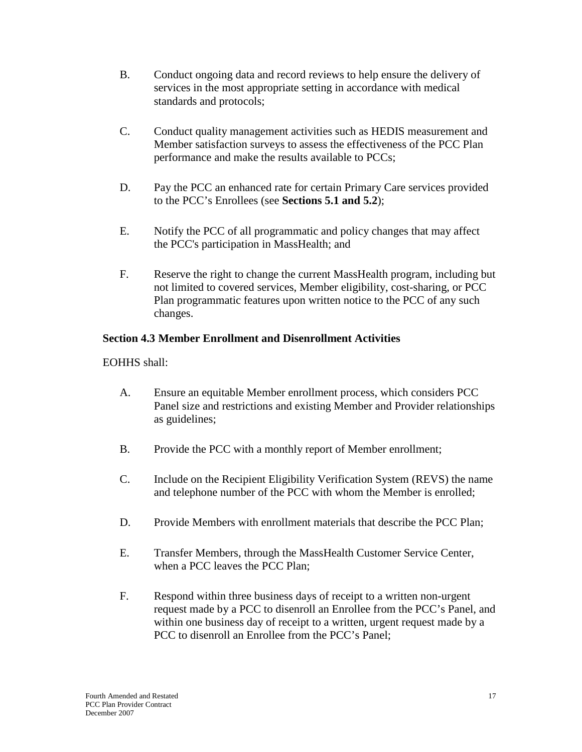- B. Conduct ongoing data and record reviews to help ensure the delivery of services in the most appropriate setting in accordance with medical standards and protocols;
- C. Conduct quality management activities such as HEDIS measurement and Member satisfaction surveys to assess the effectiveness of the PCC Plan performance and make the results available to PCCs;
- D. Pay the PCC an enhanced rate for certain Primary Care services provided to the PCC's Enrollees (see **Sections 5.1 and 5.2**);
- E. Notify the PCC of all programmatic and policy changes that may affect the PCC's participation in MassHealth; and
- F. Reserve the right to change the current MassHealth program, including but not limited to covered services, Member eligibility, cost-sharing, or PCC Plan programmatic features upon written notice to the PCC of any such changes.

#### <span id="page-21-0"></span>**Section 4.3 Member Enrollment and Disenrollment Activities**

EOHHS shall:

- A. Ensure an equitable Member enrollment process, which considers PCC Panel size and restrictions and existing Member and Provider relationships as guidelines;
- B. Provide the PCC with a monthly report of Member enrollment;
- C. Include on the Recipient Eligibility Verification System (REVS) the name and telephone number of the PCC with whom the Member is enrolled;
- D. Provide Members with enrollment materials that describe the PCC Plan;
- E. Transfer Members, through the MassHealth Customer Service Center, when a PCC leaves the PCC Plan;
- F. Respond within three business days of receipt to a written non-urgent request made by a PCC to disenroll an Enrollee from the PCC's Panel, and within one business day of receipt to a written, urgent request made by a PCC to disenroll an Enrollee from the PCC's Panel;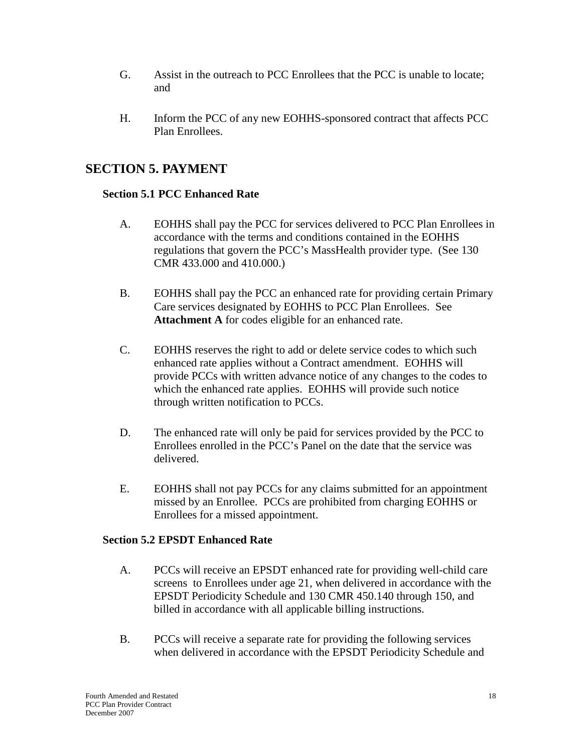- G. Assist in the outreach to PCC Enrollees that the PCC is unable to locate; and
- H. Inform the PCC of any new EOHHS-sponsored contract that affects PCC Plan Enrollees.

# <span id="page-22-0"></span>**SECTION 5. PAYMENT**

### <span id="page-22-1"></span>**Section 5.1 PCC Enhanced Rate**

- A. EOHHS shall pay the PCC for services delivered to PCC Plan Enrollees in accordance with the terms and conditions contained in the EOHHS regulations that govern the PCC's MassHealth provider type. (See 130 CMR 433.000 and 410.000.)
- B. EOHHS shall pay the PCC an enhanced rate for providing certain Primary Care services designated by EOHHS to PCC Plan Enrollees. See **Attachment A** for codes eligible for an enhanced rate.
- C. EOHHS reserves the right to add or delete service codes to which such enhanced rate applies without a Contract amendment. EOHHS will provide PCCs with written advance notice of any changes to the codes to which the enhanced rate applies. EOHHS will provide such notice through written notification to PCCs.
- D. The enhanced rate will only be paid for services provided by the PCC to Enrollees enrolled in the PCC's Panel on the date that the service was delivered.
- E. EOHHS shall not pay PCCs for any claims submitted for an appointment missed by an Enrollee. PCCs are prohibited from charging EOHHS or Enrollees for a missed appointment.

#### <span id="page-22-2"></span>**Section 5.2 EPSDT Enhanced Rate**

- A. PCCs will receive an EPSDT enhanced rate for providing well-child care screens to Enrollees under age 21, when delivered in accordance with the EPSDT Periodicity Schedule and 130 CMR 450.140 through 150, and billed in accordance with all applicable billing instructions.
- B. PCCs will receive a separate rate for providing the following services when delivered in accordance with the EPSDT Periodicity Schedule and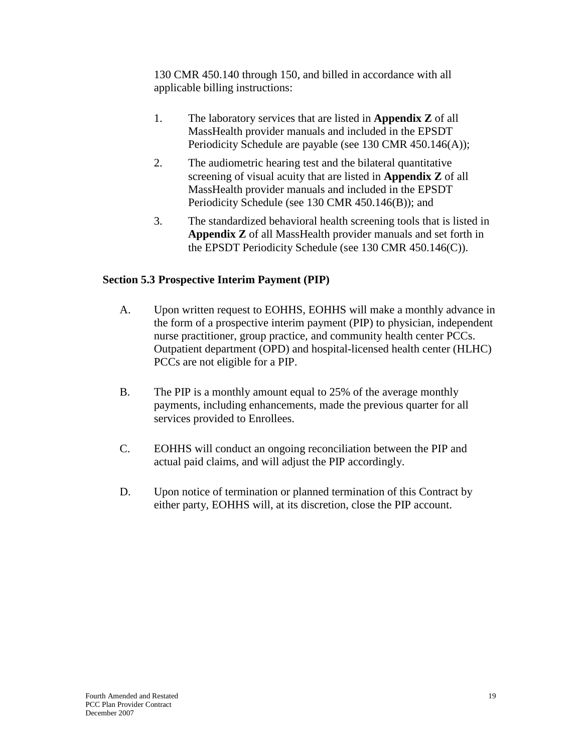130 CMR 450.140 through 150, and billed in accordance with all applicable billing instructions:

- 1. The laboratory services that are listed in **Appendix Z** of all MassHealth provider manuals and included in the EPSDT Periodicity Schedule are payable (see 130 CMR 450.146(A));
- 2. The audiometric hearing test and the bilateral quantitative screening of visual acuity that are listed in **Appendix Z** of all MassHealth provider manuals and included in the EPSDT Periodicity Schedule (see 130 CMR 450.146(B)); and
- 3. The standardized behavioral health screening tools that is listed in **Appendix Z** of all MassHealth provider manuals and set forth in the EPSDT Periodicity Schedule (see 130 CMR 450.146(C)).

## <span id="page-23-0"></span>**Section 5.3 Prospective Interim Payment (PIP)**

- A. Upon written request to EOHHS, EOHHS will make a monthly advance in the form of a prospective interim payment (PIP) to physician, independent nurse practitioner, group practice, and community health center PCCs. Outpatient department (OPD) and hospital-licensed health center (HLHC) PCCs are not eligible for a PIP.
- B. The PIP is a monthly amount equal to 25% of the average monthly payments, including enhancements, made the previous quarter for all services provided to Enrollees.
- C. EOHHS will conduct an ongoing reconciliation between the PIP and actual paid claims, and will adjust the PIP accordingly.
- <span id="page-23-1"></span>D. Upon notice of termination or planned termination of this Contract by either party, EOHHS will, at its discretion, close the PIP account.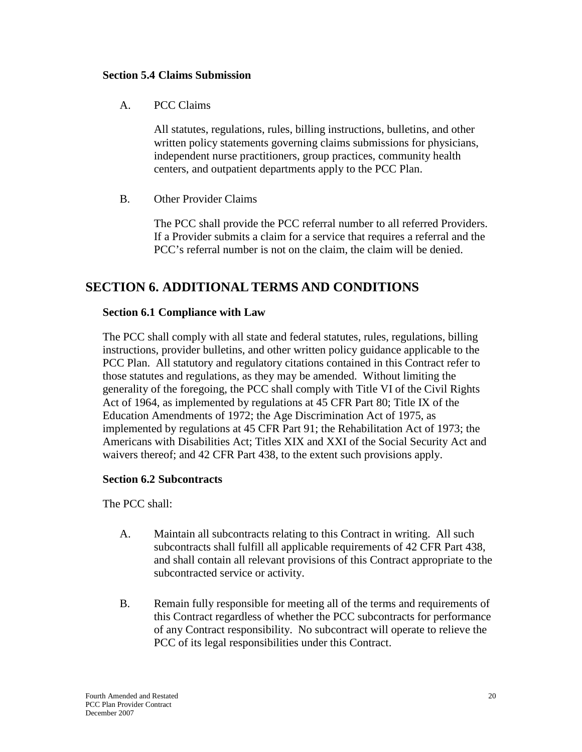#### **Section 5.4 Claims Submission**

A. PCC Claims

All statutes, regulations, rules, billing instructions, bulletins, and other written policy statements governing claims submissions for physicians, independent nurse practitioners, group practices, community health centers, and outpatient departments apply to the PCC Plan.

B. Other Provider Claims

The PCC shall provide the PCC referral number to all referred Providers. If a Provider submits a claim for a service that requires a referral and the PCC's referral number is not on the claim, the claim will be denied.

## <span id="page-24-0"></span>**SECTION 6. ADDITIONAL TERMS AND CONDITIONS**

#### <span id="page-24-1"></span>**Section 6.1 Compliance with Law**

The PCC shall comply with all state and federal statutes, rules, regulations, billing instructions, provider bulletins, and other written policy guidance applicable to the PCC Plan. All statutory and regulatory citations contained in this Contract refer to those statutes and regulations, as they may be amended. Without limiting the generality of the foregoing, the PCC shall comply with Title VI of the Civil Rights Act of 1964, as implemented by regulations at 45 CFR Part 80; Title IX of the Education Amendments of 1972; the Age Discrimination Act of 1975, as implemented by regulations at 45 CFR Part 91; the Rehabilitation Act of 1973; the Americans with Disabilities Act; Titles XIX and XXI of the Social Security Act and waivers thereof; and 42 CFR Part 438, to the extent such provisions apply.

#### <span id="page-24-2"></span>**Section 6.2 Subcontracts**

The PCC shall:

- A. Maintain all subcontracts relating to this Contract in writing. All such subcontracts shall fulfill all applicable requirements of 42 CFR Part 438, and shall contain all relevant provisions of this Contract appropriate to the subcontracted service or activity.
- B. Remain fully responsible for meeting all of the terms and requirements of this Contract regardless of whether the PCC subcontracts for performance of any Contract responsibility. No subcontract will operate to relieve the PCC of its legal responsibilities under this Contract.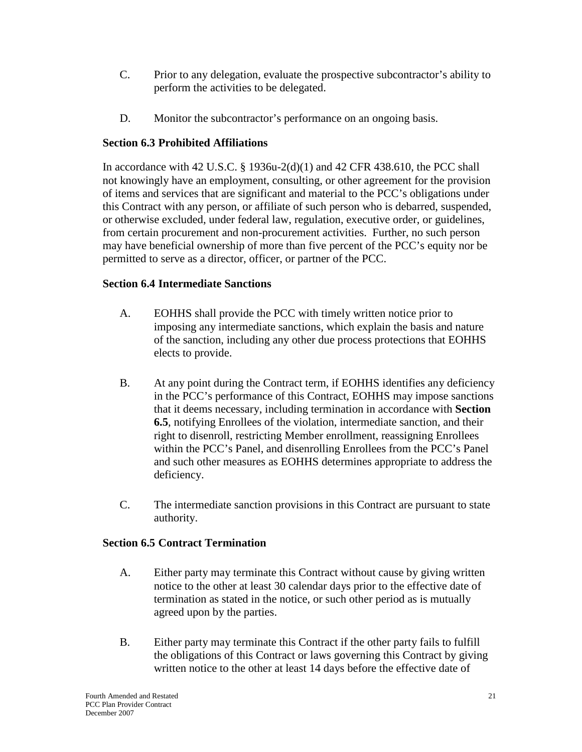- C. Prior to any delegation, evaluate the prospective subcontractor's ability to perform the activities to be delegated.
- D. Monitor the subcontractor's performance on an ongoing basis.

## <span id="page-25-0"></span>**Section 6.3 Prohibited Affiliations**

In accordance with 42 U.S.C. § 1936u-2(d)(1) and 42 CFR 438.610, the PCC shall not knowingly have an employment, consulting, or other agreement for the provision of items and services that are significant and material to the PCC's obligations under this Contract with any person, or affiliate of such person who is debarred, suspended, or otherwise excluded, under federal law, regulation, executive order, or guidelines, from certain procurement and non-procurement activities. Further, no such person may have beneficial ownership of more than five percent of the PCC's equity nor be permitted to serve as a director, officer, or partner of the PCC.

## <span id="page-25-1"></span>**Section 6.4 Intermediate Sanctions**

- A. EOHHS shall provide the PCC with timely written notice prior to imposing any intermediate sanctions, which explain the basis and nature of the sanction, including any other due process protections that EOHHS elects to provide.
- B. At any point during the Contract term, if EOHHS identifies any deficiency in the PCC's performance of this Contract, EOHHS may impose sanctions that it deems necessary, including termination in accordance with **Section 6.5**, notifying Enrollees of the violation, intermediate sanction, and their right to disenroll, restricting Member enrollment, reassigning Enrollees within the PCC's Panel, and disenrolling Enrollees from the PCC's Panel and such other measures as EOHHS determines appropriate to address the deficiency.
- C. The intermediate sanction provisions in this Contract are pursuant to state authority.

## <span id="page-25-2"></span>**Section 6.5 Contract Termination**

- A. Either party may terminate this Contract without cause by giving written notice to the other at least 30 calendar days prior to the effective date of termination as stated in the notice, or such other period as is mutually agreed upon by the parties.
- B. Either party may terminate this Contract if the other party fails to fulfill the obligations of this Contract or laws governing this Contract by giving written notice to the other at least 14 days before the effective date of